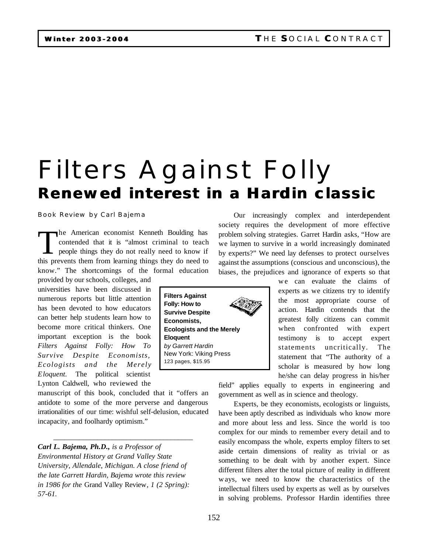# Filters Against Folly *Renewed interest in a Hardin classic*

### Book Review by Carl Bajema

The American economist Kenneth Boulding has<br>contended that it is "almost criminal to teach<br>people things they do not really need to know if<br>this prevents them from learning things they do need to he American economist Kenneth Boulding has contended that it is "almost criminal to teach people things they do not really need to know if know." The shortcomings of the formal education

provided by our schools, colleges, and universities have been discussed in numerous reports but little attention has been devoted to how educators can better help students learn how to become more critical thinkers. One important exception is the book *Filters Against Folly: How To Survive Despite Economists, Ecologists and the Merely Eloquent.* The political scientist Lynton Caldwell, who reviewed the

manuscript of this book, concluded that it "offers an antidote to some of the more perverse and dangerous irrationalities of our time: wishful self-delusion, educated incapacity, and foolhardy optimism."

\_\_\_\_\_\_\_\_\_\_\_\_\_\_\_\_\_\_\_\_\_\_\_\_\_\_\_\_\_\_\_\_\_\_\_\_\_\_

*Carl L. Bajema, Ph.D., is a Professor of Environmental History at Grand Valley State University, Allendale, Michigan. A close friend of the late Garrett Hardin, Bajema wrote this review in 1986 for the* Grand Valley Review*, 1 (2 Spring): 57-61.*

**Filters Against Folly: How to Survive Despite Economists, Ecologists and the Merely Eloquent** *by Garrett Hardin* New York: Viking Press 123 pages, \$15.95

Our increasingly complex and interdependent society requires the development of more effective problem solving strategies. Garret Hardin asks, "How are we laymen to survive in a world increasingly dominated by experts?" We need lay defenses to protect ourselves against the assumptions (conscious and unconscious), the biases, the prejudices and ignorance of experts so that

> we can evaluate the claims of experts as we citizens try to identify the most appropriate course of action. Hardin contends that the greatest folly citizens can commit when confronted with expert testimony is to accept expert statements uncritically. The statement that "The authority of a scholar is measured by how long he/she can delay progress in his/her

field" applies equally to experts in engineering and government as well as in science and theology.

Experts, be they economists, ecologists or linguists, have been aptly described as individuals who know more and more about less and less. Since the world is too complex for our minds to remember every detail and to easily encompass the whole, experts employ filters to set aside certain dimensions of reality as trivial or as something to be dealt with by another expert. Since different filters alter the total picture of reality in different ways, we need to know the characteristics of the intellectual filters used by experts as well as by ourselves in solving problems. Professor Hardin identifies three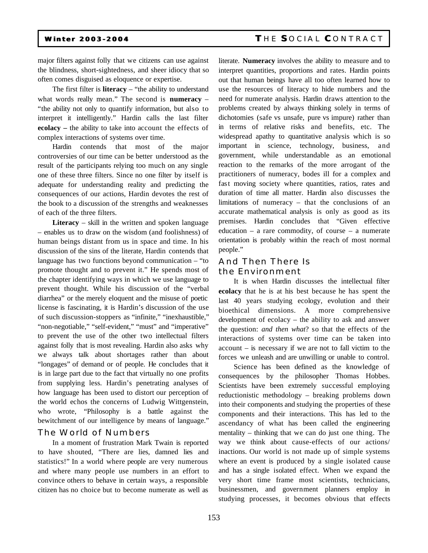## **Winter 2003-2004 T** HE **S**OCIAL **C**ONTRACT

major filters against folly that we citizens can use against the blindness, short-sightedness, and sheer idiocy that so often comes disguised as eloquence or expertise.

The first filter is **literacy** – "the ability to understand what words really mean." The second is **numeracy** – "the ability not only to quantify information, but also to interpret it intelligently." Hardin calls the last filter **ecolacy –** the ability to take into account the effects of complex interactions of systems over time.

Hardin contends that most of the major controversies of our time can be better understood as the result of the participants relying too much on any single one of these three filters. Since no one filter by itself is adequate for understanding reality and predicting the consequences of our actions, Hardin devotes the rest of the book to a discussion of the strengths and weaknesses of each of the three filters.

**Literacy** – skill in the written and spoken language – enables us to draw on the wisdom (and foolishness) of human beings distant from us in space and time. In his discussion of the sins of the literate, Hardin contends that language has two functions beyond communication – "to promote thought and to prevent it." He spends most of the chapter identifying ways in which we use language to prevent thought. While his discussion of the "verbal diarrhea" or the merely eloquent and the misuse of poetic license is fascinating, it is Hardin's discussion of the use of such discussion-stoppers as "infinite," "inexhaustible," "non-negotiable," "self-evident," "must" and "imperative" to prevent the use of the other two intellectual filters against folly that is most revealing. Hardin also asks why we always talk about shortages rather than about "longages" of demand or of people. He concludes that it is in large part due to the fact that virtually no one profits from supplying less. Hardin's penetrating analyses of how language has been used to distort our perception of the world echos the concerns of Ludwig Wittgenstein, who wrote, "Philosophy is a battle against the bewitchment of our intelligence by means of language."

### The World of Numbers

In a moment of frustration Mark Twain is reported to have shouted, "There are lies, damned lies and statistics!" In a world where people are very numerous and where many people use numbers in an effort to convince others to behave in certain ways, a responsible citizen has no choice but to become numerate as well as

literate. **Numeracy** involves the ability to measure and to interpret quantities, proportions and rates. Hardin points out that human beings have all too often learned how to use the resources of literacy to hide numbers and the need for numerate analysis. Hardin draws attention to the problems created by always thinking solely in terms of dichotomies (safe vs unsafe, pure vs impure) rather than in terms of relative risks and benefits, etc. The widespread apathy to quantitative analysis which is so important in science, technology, business, and government, while understandable as an emotional reaction to the remarks of the more arrogant of the practitioners of numeracy, bodes ill for a complex and fast moving society where quantities, ratios, rates and duration of time all matter. Hardin also discusses the limitations of numeracy – that the conclusions of an accurate mathematical analysis is only as good as its premises. Hardin concludes that "Given effective education – a rare commodity, of course – a numerate orientation is probably within the reach of most normal people."

# And Then There Is the Environment

It is when Hardin discusses the intellectual filter **ecolacy** that he is at his best because he has spent the last 40 years studying ecology, evolution and their bioethical dimensions. A more comprehensive development of ecolacy – the ability to ask and answer the question: *and then what*? so that the effects of the interactions of systems over time can be taken into account – is necessary if we are not to fall victim to the forces we unleash and are unwilling or unable to control.

Science has been defined as the knowledge of consequences by the philosopher Thomas Hobbes. Scientists have been extremely successful employing reductionistic methodology – breaking problems down into their components and studying the properties of these components and their interactions. This has led to the ascendancy of what has been called the engineering mentality – thinking that we can do just one thing. The way we think about cause-effects of our actions/ inactions. Our world is not made up of simple systems where an event is produced by a single isolated cause and has a single isolated effect. When we expand the very short time frame most scientists, technicians, businessmen, and government planners employ in studying processes, it becomes obvious that effects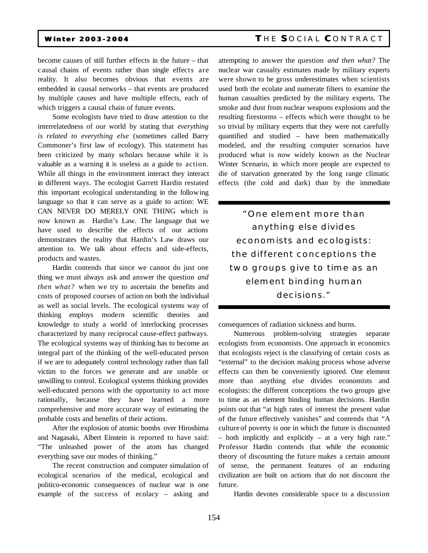# **Winter 2003-2004 T** HE **S**OCIAL **C**ONTRACT

become causes of still further effects in the future – that c ausal chains of events rather than single effects are reality. It also becomes obvious that events are embedded in causal networks – that events are produced by multiple causes and have multiple effects, each of which triggers a causal chain of future events.

Some ecologists have tried to draw attention to the interrelatedness of our world by stating that *everything is related to everything else* (sometimes called Barry Commoner's first law of ecology). This statement has been criticized by many scholars because while it is valuable as a warning it is useless as a guide to action. While all things in the environment interact they interact in different ways. The ecologist Garrett Hardin restated this important ecological understanding in the following language so that it can serve as a guide to action: WE CAN NEVER DO MERELY ONE THING which is now known as Hardin's Law. The language that we have used to describe the effects of our actions demonstrates the reality that Hardin's Law draws our attention to. We talk about effects and side-effects, products and wastes.

Hardin contends that since we cannot do just one thing we must always ask and answer the question *and then what?* when we try to ascertain the benefits and costs of proposed courses of action on both the individual as well as social levels. The ecological systems way of thinking employs modern scientific theories and knowledge to study a world of interlocking processes characterized by many reciprocal cause-effect pathways. The ecological systems way of thinking has to become an integral part of the thinking of the well-educated person if we are to adequately control technology rather than fall victim to the forces we generate and are unable or unwilling to control. Ecological systems thinking provides well-educated persons with the opportunity to act more rationally, because they have learned a more comprehensive and more accurate way of estimating the probable costs and benefits of their actions.

After the explosion of atomic bombs over Hiroshima and Nagasaki, Albert Einstein is reported to have said: "The unleashed power of the atom has changed everything save our modes of thinking."

The recent construction and computer simulation of ecological scenarios of the medical, ecological and politico-economic consequences of nuclear war is one example of the success of ecolacy – asking and

attempting to answer the question *and then what?* The nuclear war casualty estimates made by military experts were shown to be gross underestimates when scientists used both the ecolate and numerate filters to examine the human casualties predicted by the military experts. The smoke and dust from nuclear weapons explosions and the resulting firestorms – effects which were thought to be so trivial by military experts that they were not carefully quantified and studied – have been mathematically modeled, and the resulting computer scenarios have produced what is now widely known as the Nuclear Winter Scenario, in which more people are expected to die of starvation generated by the long range climatic effects (the cold and dark) than by the immediate

*"One element more than anything else divides economists and ecologists: the different conceptions the two groups give to time as an element binding human decisions."*

consequences of radiation sickness and burns.

Numerous problem-solving strategies separate ecologists from economists. One approach in economics that ecologists reject is the classifying of certain costs as "external" to the decision making process whose adverse effects can then be conveniently ignored. One element more than anything else divides economists and ecologists: the different conceptions the two groups give to time as an element binding human decisions. Hardin points out that "at high rates of interest the present value of the future effectively vanishes" and contends that "A culture of poverty is one in which the future is discounted – both implicitly and explicitly – at a very high rate." Professor Hardin contends that while the economic theory of discounting the future makes a certain amount of sense, the permanent features of an enduring civilization are built on actions that do not discount the future.

Hardin devotes considerable space to a discussion